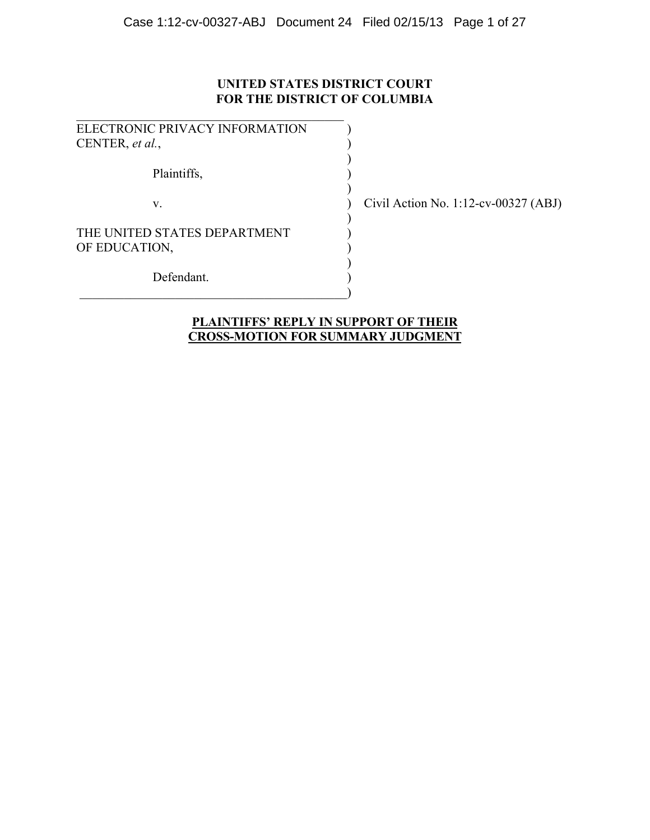## **UNITED STATES DISTRICT COURT FOR THE DISTRICT OF COLUMBIA**

| ELECTRONIC PRIVACY INFORMATION |  |
|--------------------------------|--|
| CENTER, et al.,                |  |
|                                |  |
| Plaintiffs,                    |  |
|                                |  |
| $V_{-}$                        |  |
|                                |  |
| THE UNITED STATES DEPARTMENT   |  |
| OF EDUCATION,                  |  |
|                                |  |
| Defendant.                     |  |
|                                |  |

 $\mathcal{L}_\text{max}$  , and the set of the set of the set of the set of the set of the set of the set of the set of the set of the set of the set of the set of the set of the set of the set of the set of the set of the set of the

Civil Action No. 1:12-cv-00327 (ABJ)

### **PLAINTIFFS' REPLY IN SUPPORT OF THEIR CROSS-MOTION FOR SUMMARY JUDGMENT**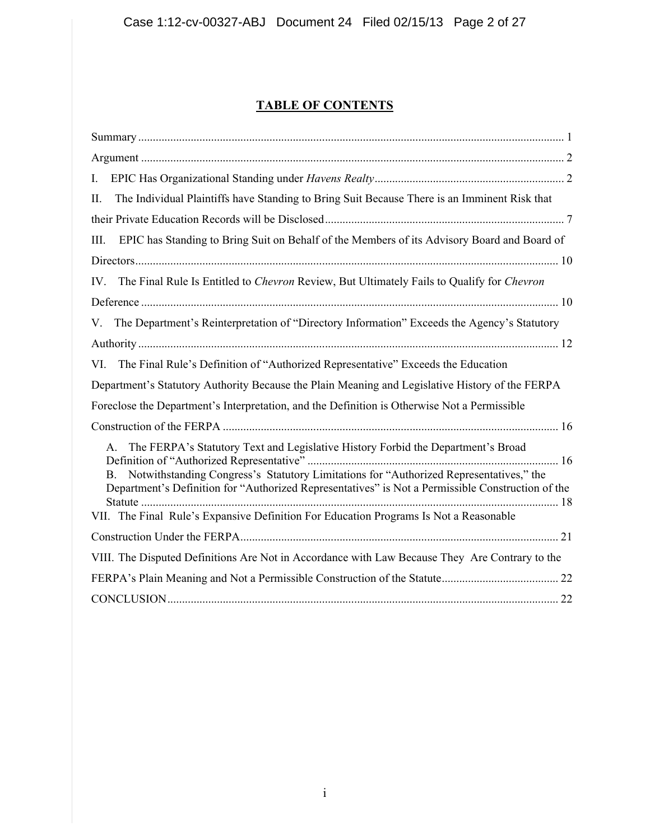# **TABLE OF CONTENTS**

| $\mathbf{I}$ .                                                                                                                                                                                                                                                                                                                                                                       |
|--------------------------------------------------------------------------------------------------------------------------------------------------------------------------------------------------------------------------------------------------------------------------------------------------------------------------------------------------------------------------------------|
| The Individual Plaintiffs have Standing to Bring Suit Because There is an Imminent Risk that<br>П.                                                                                                                                                                                                                                                                                   |
|                                                                                                                                                                                                                                                                                                                                                                                      |
| EPIC has Standing to Bring Suit on Behalf of the Members of its Advisory Board and Board of<br>Ш.                                                                                                                                                                                                                                                                                    |
|                                                                                                                                                                                                                                                                                                                                                                                      |
| The Final Rule Is Entitled to Chevron Review, But Ultimately Fails to Qualify for Chevron<br>IV.                                                                                                                                                                                                                                                                                     |
|                                                                                                                                                                                                                                                                                                                                                                                      |
| The Department's Reinterpretation of "Directory Information" Exceeds the Agency's Statutory<br>V.                                                                                                                                                                                                                                                                                    |
|                                                                                                                                                                                                                                                                                                                                                                                      |
| The Final Rule's Definition of "Authorized Representative" Exceeds the Education<br>VI.                                                                                                                                                                                                                                                                                              |
| Department's Statutory Authority Because the Plain Meaning and Legislative History of the FERPA                                                                                                                                                                                                                                                                                      |
| Foreclose the Department's Interpretation, and the Definition is Otherwise Not a Permissible                                                                                                                                                                                                                                                                                         |
|                                                                                                                                                                                                                                                                                                                                                                                      |
| The FERPA's Statutory Text and Legislative History Forbid the Department's Broad<br>А.<br>Notwithstanding Congress's Statutory Limitations for "Authorized Representatives," the<br>B.<br>Department's Definition for "Authorized Representatives" is Not a Permissible Construction of the<br>VII. The Final Rule's Expansive Definition For Education Programs Is Not a Reasonable |
|                                                                                                                                                                                                                                                                                                                                                                                      |
| VIII. The Disputed Definitions Are Not in Accordance with Law Because They Are Contrary to the                                                                                                                                                                                                                                                                                       |
|                                                                                                                                                                                                                                                                                                                                                                                      |
|                                                                                                                                                                                                                                                                                                                                                                                      |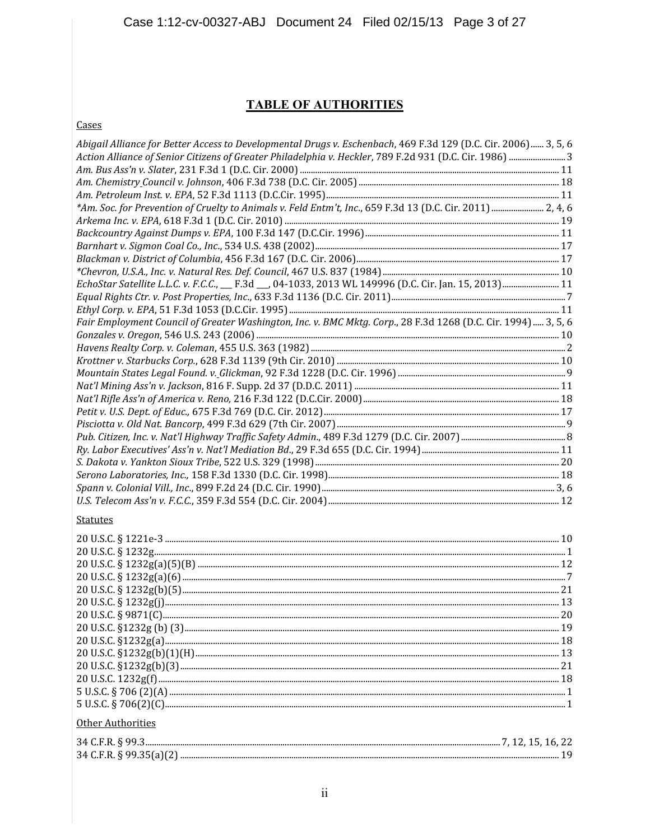### **TABLE OF AUTHORITIES**

Cases

| Abigail Alliance for Better Access to Developmental Drugs v. Eschenbach, 469 F.3d 129 (D.C. Cir. 2006) 3, 5, 6<br>Action Alliance of Senior Citizens of Greater Philadelphia v. Heckler, 789 F.2d 931 (D.C. Cir. 1986) 3 |  |
|--------------------------------------------------------------------------------------------------------------------------------------------------------------------------------------------------------------------------|--|
|                                                                                                                                                                                                                          |  |
|                                                                                                                                                                                                                          |  |
|                                                                                                                                                                                                                          |  |
| *Am. Soc. for Prevention of Cruelty to Animals v. Feld Entm't, Inc., 659 F.3d 13 (D.C. Cir. 2011)  2, 4, 6                                                                                                               |  |
|                                                                                                                                                                                                                          |  |
|                                                                                                                                                                                                                          |  |
|                                                                                                                                                                                                                          |  |
|                                                                                                                                                                                                                          |  |
|                                                                                                                                                                                                                          |  |
| EchoStar Satellite L.L.C. v. F.C.C., __ F.3d __, 04-1033, 2013 WL 149996 (D.C. Cir. Jan. 15, 2013)  11                                                                                                                   |  |
|                                                                                                                                                                                                                          |  |
|                                                                                                                                                                                                                          |  |
| Fair Employment Council of Greater Washington, Inc. v. BMC Mktg. Corp., 28 F.3d 1268 (D.C. Cir. 1994)  3, 5, 6                                                                                                           |  |
|                                                                                                                                                                                                                          |  |
|                                                                                                                                                                                                                          |  |
|                                                                                                                                                                                                                          |  |
|                                                                                                                                                                                                                          |  |
|                                                                                                                                                                                                                          |  |
|                                                                                                                                                                                                                          |  |
|                                                                                                                                                                                                                          |  |
|                                                                                                                                                                                                                          |  |
|                                                                                                                                                                                                                          |  |
|                                                                                                                                                                                                                          |  |
|                                                                                                                                                                                                                          |  |
|                                                                                                                                                                                                                          |  |
|                                                                                                                                                                                                                          |  |
|                                                                                                                                                                                                                          |  |
| <b>Statutes</b>                                                                                                                                                                                                          |  |
|                                                                                                                                                                                                                          |  |
|                                                                                                                                                                                                                          |  |
|                                                                                                                                                                                                                          |  |
|                                                                                                                                                                                                                          |  |
|                                                                                                                                                                                                                          |  |
|                                                                                                                                                                                                                          |  |
|                                                                                                                                                                                                                          |  |
|                                                                                                                                                                                                                          |  |
|                                                                                                                                                                                                                          |  |
|                                                                                                                                                                                                                          |  |
|                                                                                                                                                                                                                          |  |
|                                                                                                                                                                                                                          |  |
|                                                                                                                                                                                                                          |  |
|                                                                                                                                                                                                                          |  |
|                                                                                                                                                                                                                          |  |
| Other Authorities                                                                                                                                                                                                        |  |
|                                                                                                                                                                                                                          |  |
|                                                                                                                                                                                                                          |  |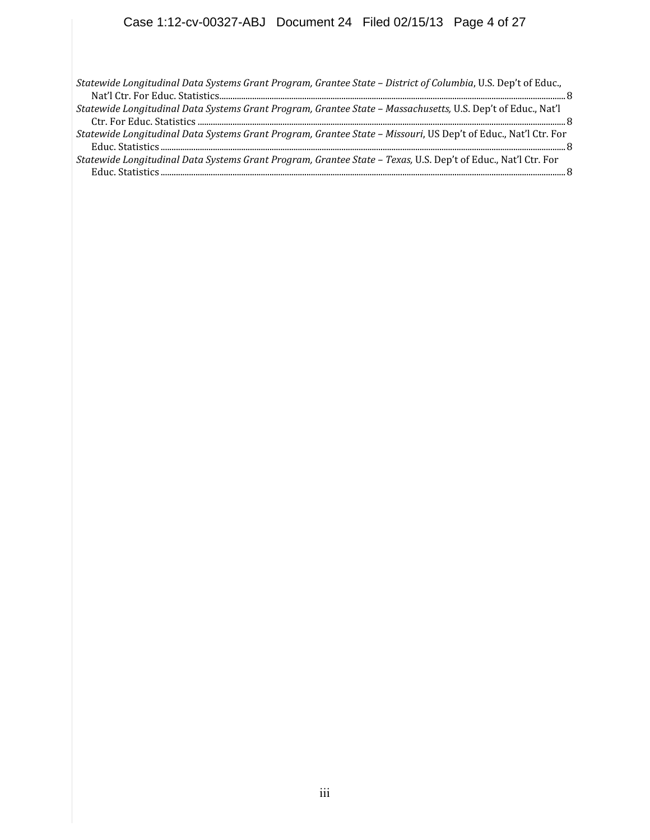#### Case 1:12-cv-00327-ABJ Document 24 Filed 02/15/13 Page 4 of 27

*Statewide Longitudinal Data Systems Grant Program, Grantee State – District of Columbia*, U.S. Dep't of Educ., Nat'l Ctr. For Educ. Statistics...............................................................................................................................................................8

*Statewide Longitudinal Data Systems Grant Program, Grantee State – Massachusetts,* U.S. Dep't of Educ., Nat'l Ctr. For Educ. Statistics .........................................................................................................................................................................8

*Statewide Longitudinal Data Systems Grant Program, Grantee State – Missouri*, US Dep't of Educ., Nat'l Ctr. For Educ. Statistics ..........................................................................................................................................................................................8

*Statewide Longitudinal Data Systems Grant Program, Grantee State – Texas,* U.S. Dep't of Educ., Nat'l Ctr. For Educ. Statistics ..........................................................................................................................................................................................8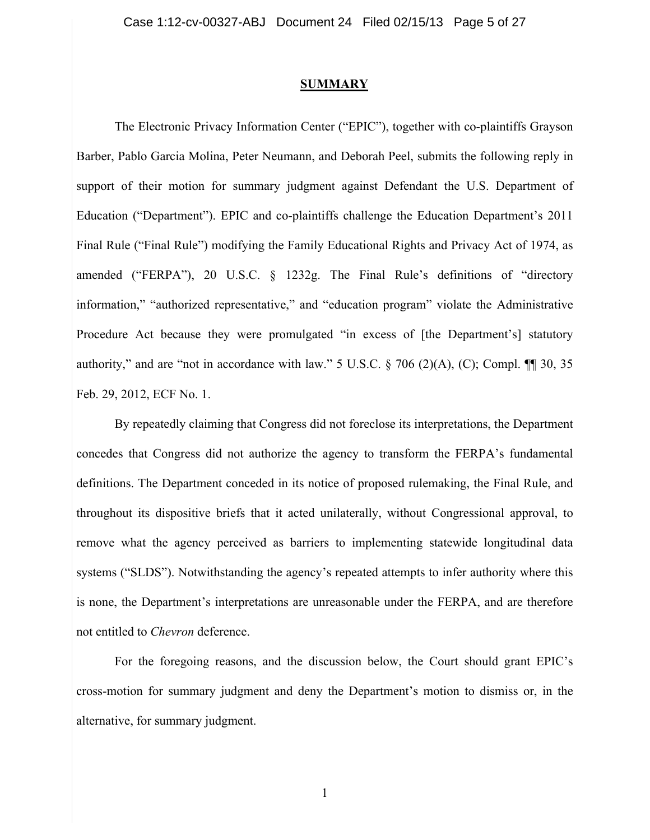#### **SUMMARY**

The Electronic Privacy Information Center ("EPIC"), together with co-plaintiffs Grayson Barber, Pablo Garcia Molina, Peter Neumann, and Deborah Peel, submits the following reply in support of their motion for summary judgment against Defendant the U.S. Department of Education ("Department"). EPIC and co-plaintiffs challenge the Education Department's 2011 Final Rule ("Final Rule") modifying the Family Educational Rights and Privacy Act of 1974, as amended ("FERPA"), 20 U.S.C. § 1232g. The Final Rule's definitions of "directory information," "authorized representative," and "education program" violate the Administrative Procedure Act because they were promulgated "in excess of [the Department's] statutory authority," and are "not in accordance with law." 5 U.S.C.  $\S$  706 (2)(A), (C); Compl.  $\P$  30, 35 Feb. 29, 2012, ECF No. 1.

By repeatedly claiming that Congress did not foreclose its interpretations, the Department concedes that Congress did not authorize the agency to transform the FERPA's fundamental definitions. The Department conceded in its notice of proposed rulemaking, the Final Rule, and throughout its dispositive briefs that it acted unilaterally, without Congressional approval, to remove what the agency perceived as barriers to implementing statewide longitudinal data systems ("SLDS"). Notwithstanding the agency's repeated attempts to infer authority where this is none, the Department's interpretations are unreasonable under the FERPA, and are therefore not entitled to *Chevron* deference.

For the foregoing reasons, and the discussion below, the Court should grant EPIC's cross-motion for summary judgment and deny the Department's motion to dismiss or, in the alternative, for summary judgment.

1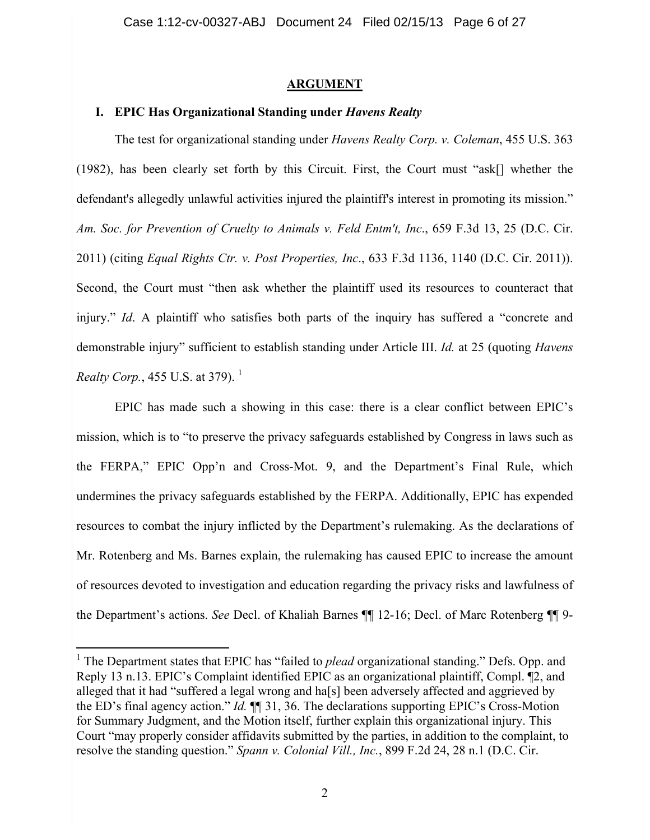### **ARGUMENT**

## **I. EPIC Has Organizational Standing under** *Havens Realty*

The test for organizational standing under *Havens Realty Corp. v. Coleman*, 455 U.S. 363 (1982), has been clearly set forth by this Circuit. First, the Court must "ask[] whether the defendant's allegedly unlawful activities injured the plaintiff's interest in promoting its mission." *Am. Soc. for Prevention of Cruelty to Animals v. Feld Entm't, Inc*., 659 F.3d 13, 25 (D.C. Cir. 2011) (citing *Equal Rights Ctr. v. Post Properties, Inc*., 633 F.3d 1136, 1140 (D.C. Cir. 2011)). Second, the Court must "then ask whether the plaintiff used its resources to counteract that injury." *Id*. A plaintiff who satisfies both parts of the inquiry has suffered a "concrete and demonstrable injury" sufficient to establish standing under Article III. *Id.* at 25 (quoting *Havens Realty Corp.*, 455 U.S. at 379).<sup>1</sup>

EPIC has made such a showing in this case: there is a clear conflict between EPIC's mission, which is to "to preserve the privacy safeguards established by Congress in laws such as the FERPA," EPIC Opp'n and Cross-Mot. 9, and the Department's Final Rule, which undermines the privacy safeguards established by the FERPA. Additionally, EPIC has expended resources to combat the injury inflicted by the Department's rulemaking. As the declarations of Mr. Rotenberg and Ms. Barnes explain, the rulemaking has caused EPIC to increase the amount of resources devoted to investigation and education regarding the privacy risks and lawfulness of the Department's actions. *See* Decl. of Khaliah Barnes ¶¶ 12-16; Decl. of Marc Rotenberg ¶¶ 9-

<sup>&</sup>lt;sup>1</sup> The Department states that EPIC has "failed to *plead* organizational standing." Defs. Opp. and Reply 13 n.13. EPIC's Complaint identified EPIC as an organizational plaintiff, Compl. ¶2, and alleged that it had "suffered a legal wrong and ha[s] been adversely affected and aggrieved by the ED's final agency action." *Id.* ¶¶ 31, 36. The declarations supporting EPIC's Cross-Motion for Summary Judgment, and the Motion itself, further explain this organizational injury. This Court "may properly consider affidavits submitted by the parties, in addition to the complaint, to resolve the standing question." *Spann v. Colonial Vill., Inc.*, 899 F.2d 24, 28 n.1 (D.C. Cir.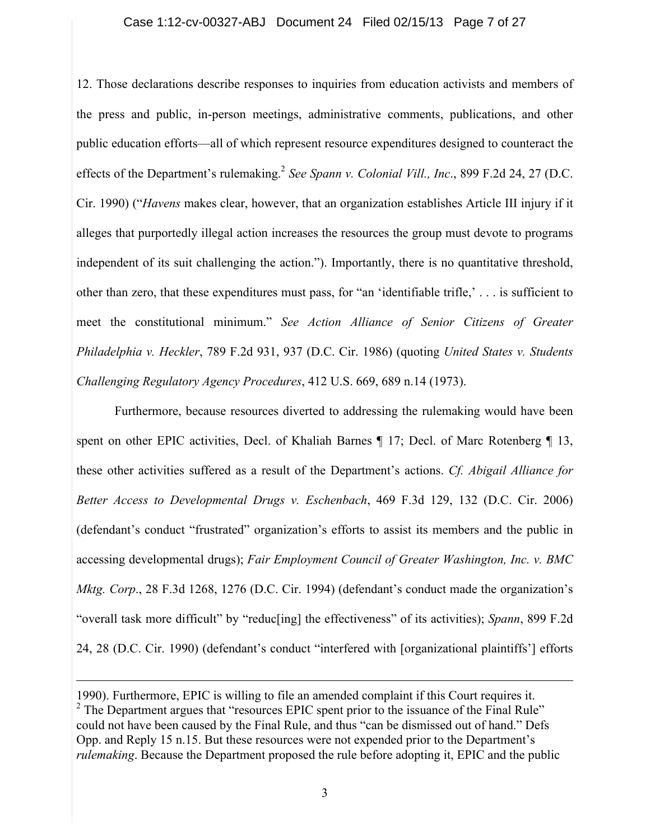### Case 1:12-cv-00327-ABJ Document 24 Filed 02/15/13 Page 7 of 27

12. Those declarations describe responses to inquiries from education activists and members of the press and public, in-person meetings, administrative comments, publications, and other public education efforts—all of which represent resource expenditures designed to counteract the effects of the Department's rulemaking.<sup>2</sup> See Spann v. Colonial Vill., Inc., 899 F.2d 24, 27 (D.C. Cir. 1990) ("*Havens* makes clear, however, that an organization establishes Article III injury if it alleges that purportedly illegal action increases the resources the group must devote to programs independent of its suit challenging the action."). Importantly, there is no quantitative threshold, other than zero, that these expenditures must pass, for "an 'identifiable trifle,' . . . is sufficient to meet the constitutional minimum." *See Action Alliance of Senior Citizens of Greater Philadelphia v. Heckler*, 789 F.2d 931, 937 (D.C. Cir. 1986) (quoting *United States v. Students Challenging Regulatory Agency Procedures*, 412 U.S. 669, 689 n.14 (1973).

Furthermore, because resources diverted to addressing the rulemaking would have been spent on other EPIC activities, Decl. of Khaliah Barnes  $\P$  17; Decl. of Marc Rotenberg  $\P$  13, these other activities suffered as a result of the Department's actions. *Cf. Abigail Alliance for Better Access to Developmental Drugs v. Eschenbach*, 469 F.3d 129, 132 (D.C. Cir. 2006) (defendant's conduct "frustrated" organization's efforts to assist its members and the public in accessing developmental drugs); *Fair Employment Council of Greater Washington, Inc. v. BMC Mktg. Corp*., 28 F.3d 1268, 1276 (D.C. Cir. 1994) (defendant's conduct made the organization's "overall task more difficult" by "reduc[ing] the effectiveness" of its activities); *Spann*, 899 F.2d 24, 28 (D.C. Cir. 1990) (defendant's conduct "interfered with [organizational plaintiffs'] efforts

 $\overline{a}$ 

<sup>1990).</sup> Furthermore, EPIC is willing to file an amended complaint if this Court requires it. <sup>2</sup> The Department argues that "resources EPIC spent prior to the issuance of the Final Rule" could not have been caused by the Final Rule, and thus "can be dismissed out of hand." Defs Opp. and Reply 15 n.15. But these resources were not expended prior to the Department's *rulemaking*. Because the Department proposed the rule before adopting it, EPIC and the public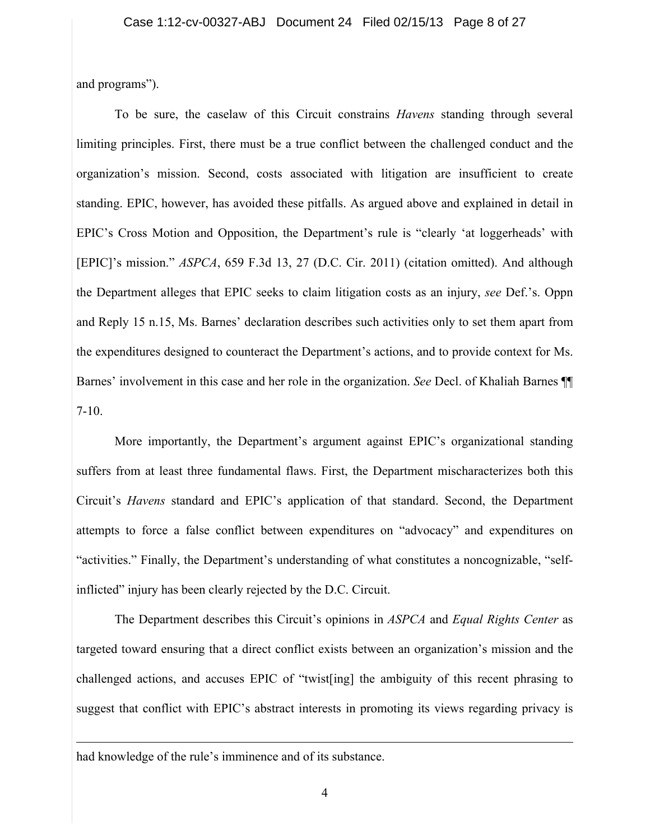and programs").

To be sure, the caselaw of this Circuit constrains *Havens* standing through several limiting principles. First, there must be a true conflict between the challenged conduct and the organization's mission. Second, costs associated with litigation are insufficient to create standing. EPIC, however, has avoided these pitfalls. As argued above and explained in detail in EPIC's Cross Motion and Opposition, the Department's rule is "clearly 'at loggerheads' with [EPIC]'s mission." *ASPCA*, 659 F.3d 13, 27 (D.C. Cir. 2011) (citation omitted). And although the Department alleges that EPIC seeks to claim litigation costs as an injury, *see* Def.'s. Oppn and Reply 15 n.15, Ms. Barnes' declaration describes such activities only to set them apart from the expenditures designed to counteract the Department's actions, and to provide context for Ms. Barnes' involvement in this case and her role in the organization. *See* Decl. of Khaliah Barnes ¶¶ 7-10.

More importantly, the Department's argument against EPIC's organizational standing suffers from at least three fundamental flaws. First, the Department mischaracterizes both this Circuit's *Havens* standard and EPIC's application of that standard. Second, the Department attempts to force a false conflict between expenditures on "advocacy" and expenditures on "activities." Finally, the Department's understanding of what constitutes a noncognizable, "selfinflicted" injury has been clearly rejected by the D.C. Circuit.

The Department describes this Circuit's opinions in *ASPCA* and *Equal Rights Center* as targeted toward ensuring that a direct conflict exists between an organization's mission and the challenged actions, and accuses EPIC of "twist[ing] the ambiguity of this recent phrasing to suggest that conflict with EPIC's abstract interests in promoting its views regarding privacy is

had knowledge of the rule's imminence and of its substance.

 $\overline{a}$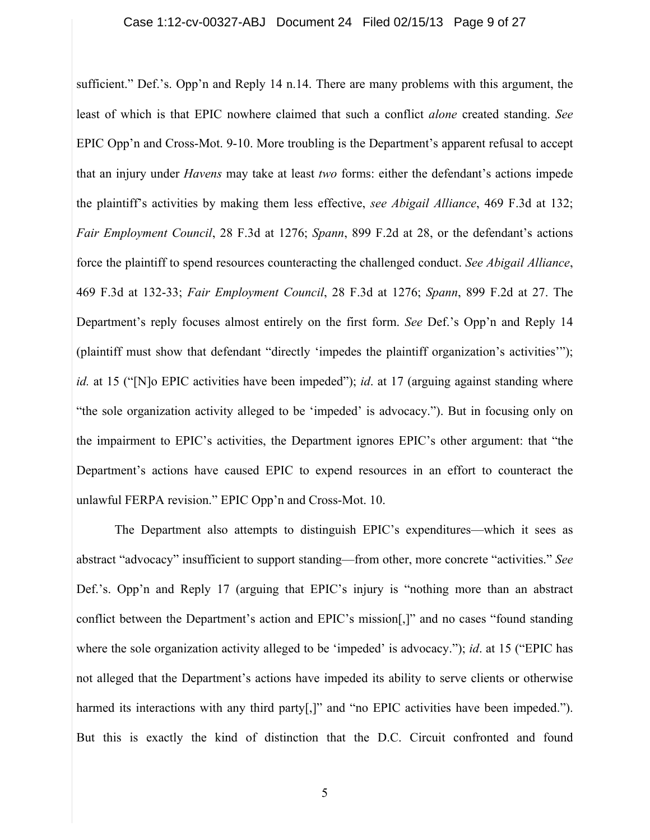sufficient." Def.'s. Opp'n and Reply 14 n.14. There are many problems with this argument, the least of which is that EPIC nowhere claimed that such a conflict *alone* created standing. *See* EPIC Opp'n and Cross-Mot. 9-10. More troubling is the Department's apparent refusal to accept that an injury under *Havens* may take at least *two* forms: either the defendant's actions impede the plaintiff's activities by making them less effective, *see Abigail Alliance*, 469 F.3d at 132; *Fair Employment Council*, 28 F.3d at 1276; *Spann*, 899 F.2d at 28, or the defendant's actions force the plaintiff to spend resources counteracting the challenged conduct. *See Abigail Alliance*, 469 F.3d at 132-33; *Fair Employment Council*, 28 F.3d at 1276; *Spann*, 899 F.2d at 27. The Department's reply focuses almost entirely on the first form. *See* Def.'s Opp'n and Reply 14 (plaintiff must show that defendant "directly 'impedes the plaintiff organization's activities'"); *id.* at 15 ("No EPIC activities have been impeded"); *id.* at 17 (arguing against standing where "the sole organization activity alleged to be 'impeded' is advocacy."). But in focusing only on the impairment to EPIC's activities, the Department ignores EPIC's other argument: that "the Department's actions have caused EPIC to expend resources in an effort to counteract the unlawful FERPA revision." EPIC Opp'n and Cross-Mot. 10.

The Department also attempts to distinguish EPIC's expenditures—which it sees as abstract "advocacy" insufficient to support standing—from other, more concrete "activities." *See* Def.'s. Opp'n and Reply 17 (arguing that EPIC's injury is "nothing more than an abstract conflict between the Department's action and EPIC's mission[,]" and no cases "found standing where the sole organization activity alleged to be 'impeded' is advocacy."); *id*. at 15 ("EPIC has not alleged that the Department's actions have impeded its ability to serve clients or otherwise harmed its interactions with any third party<sup>[1]</sup>, and "no EPIC activities have been impeded."). But this is exactly the kind of distinction that the D.C. Circuit confronted and found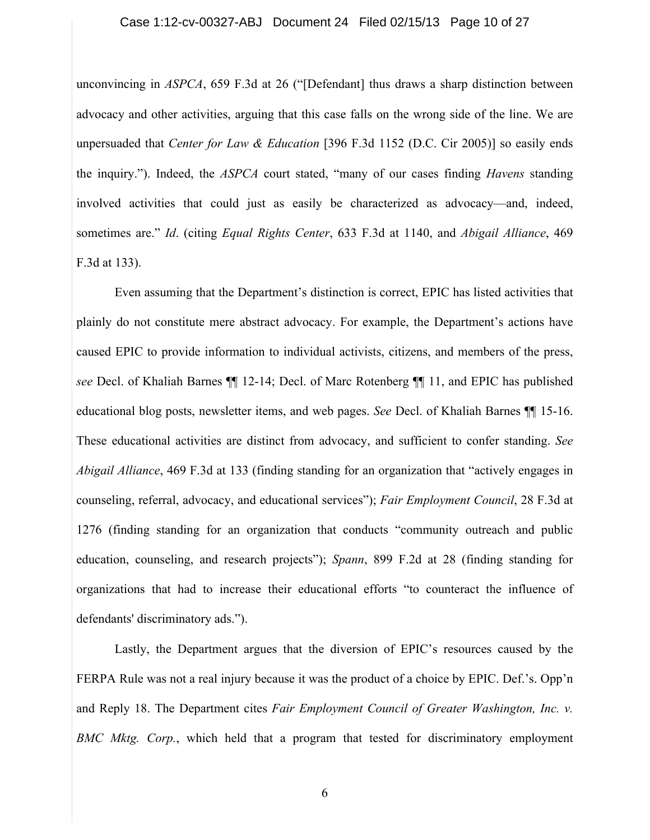#### Case 1:12-cv-00327-ABJ Document 24 Filed 02/15/13 Page 10 of 27

unconvincing in *ASPCA*, 659 F.3d at 26 ("[Defendant] thus draws a sharp distinction between advocacy and other activities, arguing that this case falls on the wrong side of the line. We are unpersuaded that *Center for Law & Education* [396 F.3d 1152 (D.C. Cir 2005)] so easily ends the inquiry."). Indeed, the *ASPCA* court stated, "many of our cases finding *Havens* standing involved activities that could just as easily be characterized as advocacy—and, indeed, sometimes are." *Id*. (citing *Equal Rights Center*, 633 F.3d at 1140, and *Abigail Alliance*, 469 F.3d at 133).

Even assuming that the Department's distinction is correct, EPIC has listed activities that plainly do not constitute mere abstract advocacy. For example, the Department's actions have caused EPIC to provide information to individual activists, citizens, and members of the press, *see* Decl. of Khaliah Barnes ¶¶ 12-14; Decl. of Marc Rotenberg ¶¶ 11, and EPIC has published educational blog posts, newsletter items, and web pages. *See* Decl. of Khaliah Barnes ¶¶ 15-16. These educational activities are distinct from advocacy, and sufficient to confer standing. *See Abigail Alliance*, 469 F.3d at 133 (finding standing for an organization that "actively engages in counseling, referral, advocacy, and educational services"); *Fair Employment Council*, 28 F.3d at 1276 (finding standing for an organization that conducts "community outreach and public education, counseling, and research projects"); *Spann*, 899 F.2d at 28 (finding standing for organizations that had to increase their educational efforts "to counteract the influence of defendants' discriminatory ads.").

Lastly, the Department argues that the diversion of EPIC's resources caused by the FERPA Rule was not a real injury because it was the product of a choice by EPIC. Def.'s. Opp'n and Reply 18. The Department cites *Fair Employment Council of Greater Washington, Inc. v. BMC Mktg. Corp.*, which held that a program that tested for discriminatory employment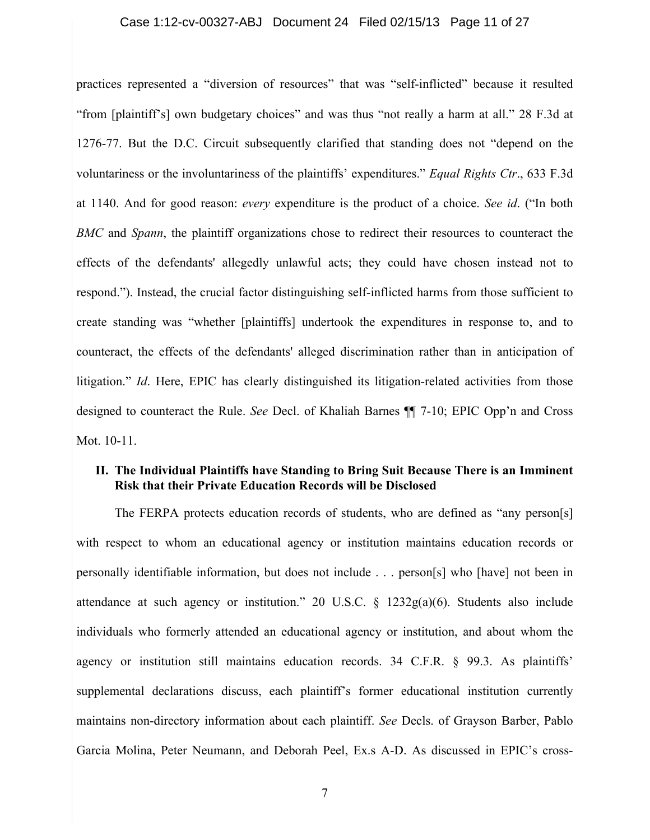### Case 1:12-cv-00327-ABJ Document 24 Filed 02/15/13 Page 11 of 27

practices represented a "diversion of resources" that was "self-inflicted" because it resulted "from [plaintiff's] own budgetary choices" and was thus "not really a harm at all." 28 F.3d at 1276-77. But the D.C. Circuit subsequently clarified that standing does not "depend on the voluntariness or the involuntariness of the plaintiffs' expenditures." *Equal Rights Ctr*., 633 F.3d at 1140. And for good reason: *every* expenditure is the product of a choice. *See id*. ("In both *BMC* and *Spann*, the plaintiff organizations chose to redirect their resources to counteract the effects of the defendants' allegedly unlawful acts; they could have chosen instead not to respond."). Instead, the crucial factor distinguishing self-inflicted harms from those sufficient to create standing was "whether [plaintiffs] undertook the expenditures in response to, and to counteract, the effects of the defendants' alleged discrimination rather than in anticipation of litigation." *Id*. Here, EPIC has clearly distinguished its litigation-related activities from those designed to counteract the Rule. *See* Decl. of Khaliah Barnes ¶¶ 7-10; EPIC Opp'n and Cross Mot. 10-11.

### **II. The Individual Plaintiffs have Standing to Bring Suit Because There is an Imminent Risk that their Private Education Records will be Disclosed**

The FERPA protects education records of students, who are defined as "any person[s] with respect to whom an educational agency or institution maintains education records or personally identifiable information, but does not include . . . person[s] who [have] not been in attendance at such agency or institution." 20 U.S.C. § 1232g(a)(6). Students also include individuals who formerly attended an educational agency or institution, and about whom the agency or institution still maintains education records. 34 C.F.R. § 99.3. As plaintiffs' supplemental declarations discuss, each plaintiff's former educational institution currently maintains non-directory information about each plaintiff. *See* Decls. of Grayson Barber, Pablo Garcia Molina, Peter Neumann, and Deborah Peel, Ex.s A-D. As discussed in EPIC's cross-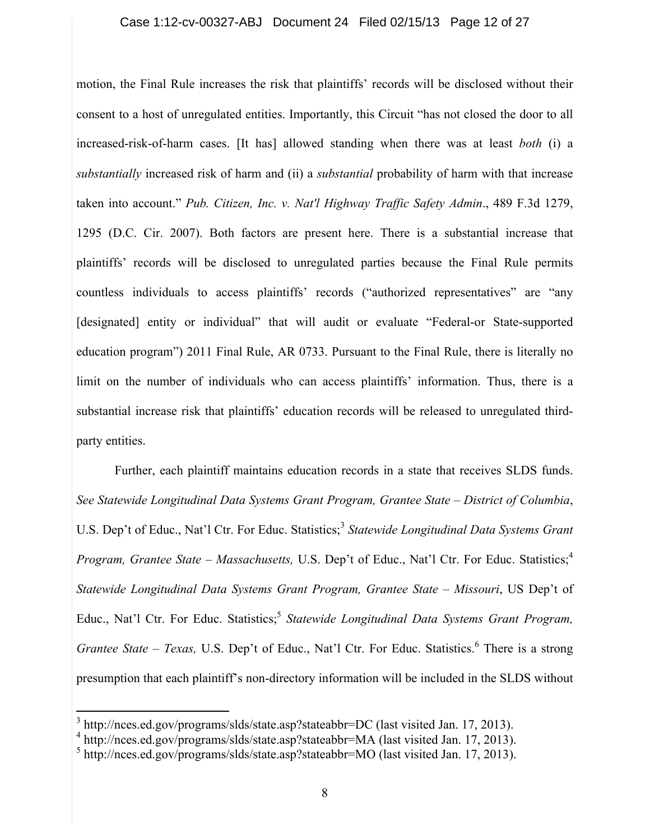### Case 1:12-cv-00327-ABJ Document 24 Filed 02/15/13 Page 12 of 27

motion, the Final Rule increases the risk that plaintiffs' records will be disclosed without their consent to a host of unregulated entities. Importantly, this Circuit "has not closed the door to all increased-risk-of-harm cases. [It has] allowed standing when there was at least *both* (i) a *substantially* increased risk of harm and (ii) a *substantial* probability of harm with that increase taken into account." *Pub. Citizen, Inc. v. Nat'l Highway Traffic Safety Admin*., 489 F.3d 1279, 1295 (D.C. Cir. 2007). Both factors are present here. There is a substantial increase that plaintiffs' records will be disclosed to unregulated parties because the Final Rule permits countless individuals to access plaintiffs' records ("authorized representatives" are "any [designated] entity or individual" that will audit or evaluate "Federal-or State-supported education program") 2011 Final Rule, AR 0733. Pursuant to the Final Rule, there is literally no limit on the number of individuals who can access plaintiffs' information. Thus, there is a substantial increase risk that plaintiffs' education records will be released to unregulated thirdparty entities.

Further, each plaintiff maintains education records in a state that receives SLDS funds. *See Statewide Longitudinal Data Systems Grant Program, Grantee State – District of Columbia*, U.S. Dep't of Educ., Nat'l Ctr. For Educ. Statistics; <sup>3</sup> *Statewide Longitudinal Data Systems Grant*  Program, Grantee State – Massachusetts, U.S. Dep't of Educ., Nat'l Ctr. For Educ. Statistics;<sup>4</sup> *Statewide Longitudinal Data Systems Grant Program, Grantee State – Missouri*, US Dep't of Educ., Nat'l Ctr. For Educ. Statistics; <sup>5</sup> *Statewide Longitudinal Data Systems Grant Program,*  Grantee State – Texas, U.S. Dep't of Educ., Nat'l Ctr. For Educ. Statistics.<sup>6</sup> There is a strong presumption that each plaintiff's non-directory information will be included in the SLDS without

 $3$  http://nces.ed.gov/programs/slds/state.asp?stateabbr=DC (last visited Jan. 17, 2013).<br> $4$  http://nces.ed.gov/programs/slds/state.asp?stateabbr=MA (last visited Jan. 17, 2013).

 $<sup>5</sup>$  http://nces.ed.gov/programs/slds/state.asp?stateabbr=MO (last visited Jan. 17, 2013).</sup>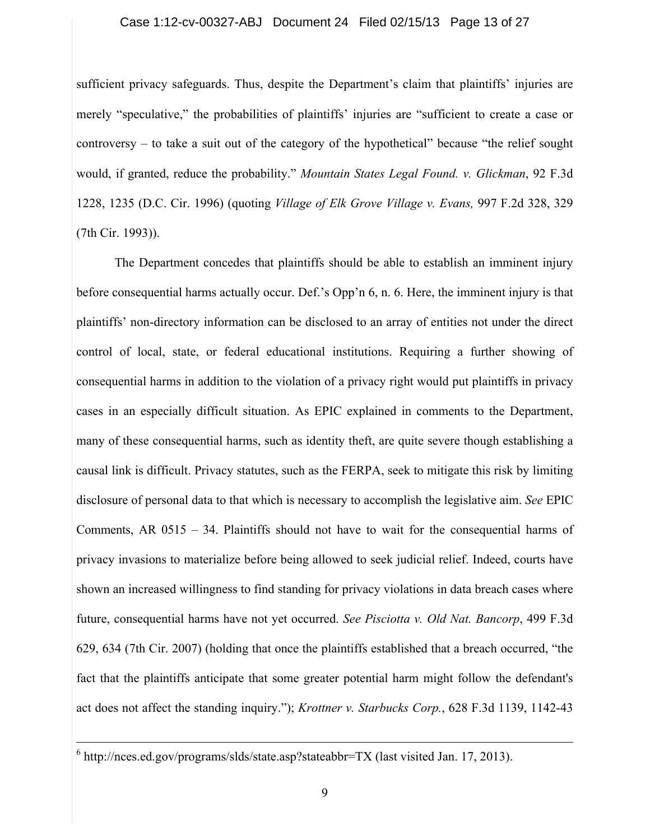#### Case 1:12-cv-00327-ABJ Document 24 Filed 02/15/13 Page 13 of 27

sufficient privacy safeguards. Thus, despite the Department's claim that plaintiffs' injuries are merely "speculative," the probabilities of plaintiffs' injuries are "sufficient to create a case or controversy – to take a suit out of the category of the hypothetical" because "the relief sought would, if granted, reduce the probability." *Mountain States Legal Found. v. Glickman*, 92 F.3d 1228, 1235 (D.C. Cir. 1996) (quoting *Village of Elk Grove Village v. Evans,* 997 F.2d 328, 329 (7th Cir. 1993)).

The Department concedes that plaintiffs should be able to establish an imminent injury before consequential harms actually occur. Def.'s Opp'n 6, n. 6. Here, the imminent injury is that plaintiffs' non-directory information can be disclosed to an array of entities not under the direct control of local, state, or federal educational institutions. Requiring a further showing of consequential harms in addition to the violation of a privacy right would put plaintiffs in privacy cases in an especially difficult situation. As EPIC explained in comments to the Department, many of these consequential harms, such as identity theft, are quite severe though establishing a causal link is difficult. Privacy statutes, such as the FERPA, seek to mitigate this risk by limiting disclosure of personal data to that which is necessary to accomplish the legislative aim. *See* EPIC Comments, AR 0515 – 34. Plaintiffs should not have to wait for the consequential harms of privacy invasions to materialize before being allowed to seek judicial relief. Indeed, courts have shown an increased willingness to find standing for privacy violations in data breach cases where future, consequential harms have not yet occurred. *See Pisciotta v. Old Nat. Bancorp*, 499 F.3d 629, 634 (7th Cir. 2007) (holding that once the plaintiffs established that a breach occurred, "the fact that the plaintiffs anticipate that some greater potential harm might follow the defendant's act does not affect the standing inquiry."); *Krottner v. Starbucks Corp.*, 628 F.3d 1139, 1142-43

 $6$  http://nces.ed.gov/programs/slds/state.asp?stateabbr=TX (last visited Jan. 17, 2013).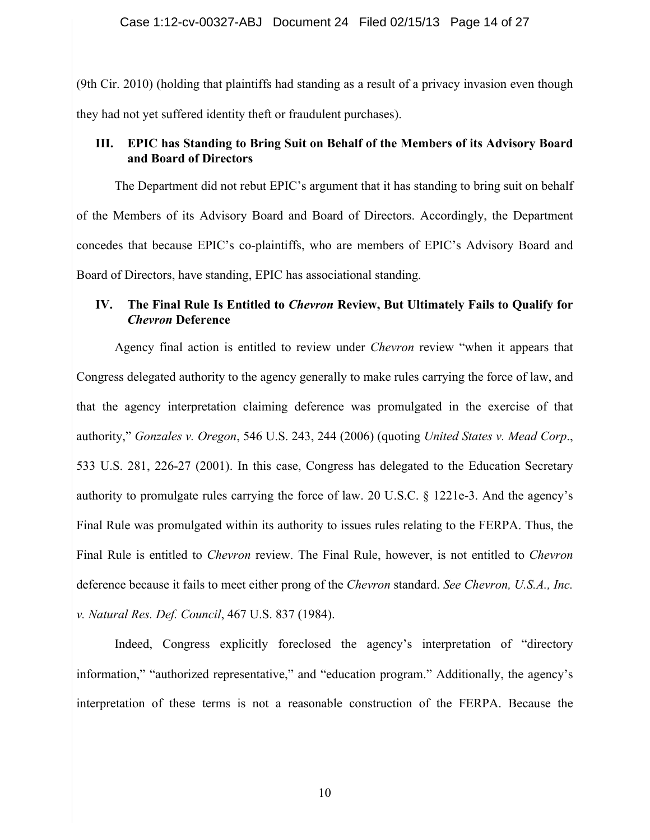(9th Cir. 2010) (holding that plaintiffs had standing as a result of a privacy invasion even though they had not yet suffered identity theft or fraudulent purchases).

## **III. EPIC has Standing to Bring Suit on Behalf of the Members of its Advisory Board and Board of Directors**

The Department did not rebut EPIC's argument that it has standing to bring suit on behalf of the Members of its Advisory Board and Board of Directors. Accordingly, the Department concedes that because EPIC's co-plaintiffs, who are members of EPIC's Advisory Board and Board of Directors, have standing, EPIC has associational standing.

## **IV. The Final Rule Is Entitled to** *Chevron* **Review, But Ultimately Fails to Qualify for** *Chevron* **Deference**

Agency final action is entitled to review under *Chevron* review "when it appears that Congress delegated authority to the agency generally to make rules carrying the force of law, and that the agency interpretation claiming deference was promulgated in the exercise of that authority," *Gonzales v. Oregon*, 546 U.S. 243, 244 (2006) (quoting *United States v. Mead Corp*., 533 U.S. 281, 226-27 (2001). In this case, Congress has delegated to the Education Secretary authority to promulgate rules carrying the force of law. 20 U.S.C. § 1221e-3. And the agency's Final Rule was promulgated within its authority to issues rules relating to the FERPA. Thus, the Final Rule is entitled to *Chevron* review. The Final Rule, however, is not entitled to *Chevron* deference because it fails to meet either prong of the *Chevron* standard. *See Chevron, U.S.A., Inc. v. Natural Res. Def. Council*, 467 U.S. 837 (1984).

Indeed, Congress explicitly foreclosed the agency's interpretation of "directory information," "authorized representative," and "education program." Additionally, the agency's interpretation of these terms is not a reasonable construction of the FERPA. Because the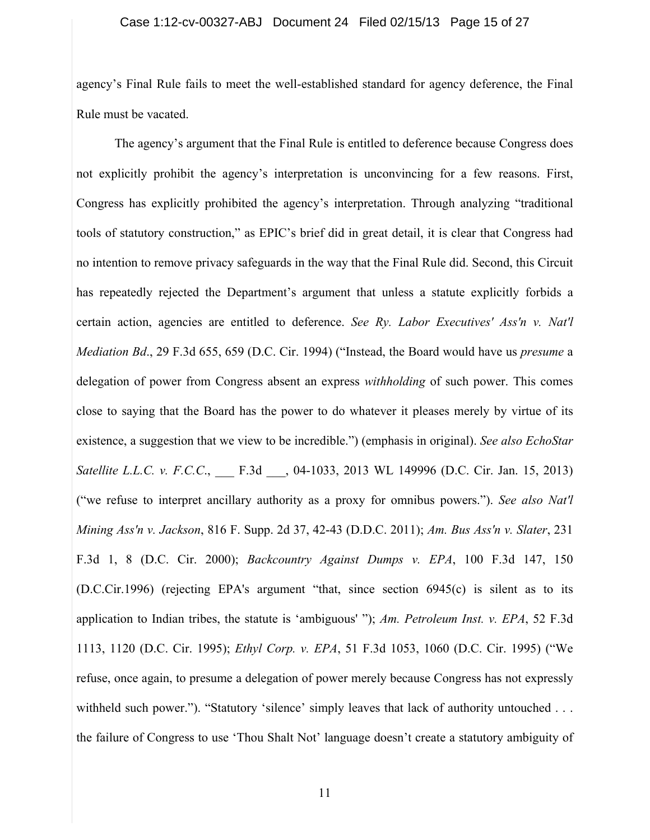#### Case 1:12-cv-00327-ABJ Document 24 Filed 02/15/13 Page 15 of 27

agency's Final Rule fails to meet the well-established standard for agency deference, the Final Rule must be vacated.

The agency's argument that the Final Rule is entitled to deference because Congress does not explicitly prohibit the agency's interpretation is unconvincing for a few reasons. First, Congress has explicitly prohibited the agency's interpretation. Through analyzing "traditional tools of statutory construction," as EPIC's brief did in great detail, it is clear that Congress had no intention to remove privacy safeguards in the way that the Final Rule did. Second, this Circuit has repeatedly rejected the Department's argument that unless a statute explicitly forbids a certain action, agencies are entitled to deference. *See Ry. Labor Executives' Ass'n v. Nat'l Mediation Bd*., 29 F.3d 655, 659 (D.C. Cir. 1994) ("Instead, the Board would have us *presume* a delegation of power from Congress absent an express *withholding* of such power. This comes close to saying that the Board has the power to do whatever it pleases merely by virtue of its existence, a suggestion that we view to be incredible.") (emphasis in original). *See also EchoStar Satellite L.L.C. v. F.C.C.*, **F.3d** , 04-1033, 2013 WL 149996 (D.C. Cir. Jan. 15, 2013) ("we refuse to interpret ancillary authority as a proxy for omnibus powers."). *See also Nat'l Mining Ass'n v. Jackson*, 816 F. Supp. 2d 37, 42-43 (D.D.C. 2011); *Am. Bus Ass'n v. Slater*, 231 F.3d 1, 8 (D.C. Cir. 2000); *Backcountry Against Dumps v. EPA*, 100 F.3d 147, 150 (D.C.Cir.1996) (rejecting EPA's argument "that, since section 6945(c) is silent as to its application to Indian tribes, the statute is 'ambiguous' "); *Am. Petroleum Inst. v. EPA*, 52 F.3d 1113, 1120 (D.C. Cir. 1995); *Ethyl Corp. v. EPA*, 51 F.3d 1053, 1060 (D.C. Cir. 1995) ("We refuse, once again, to presume a delegation of power merely because Congress has not expressly withheld such power."). "Statutory 'silence' simply leaves that lack of authority untouched . . . the failure of Congress to use 'Thou Shalt Not' language doesn't create a statutory ambiguity of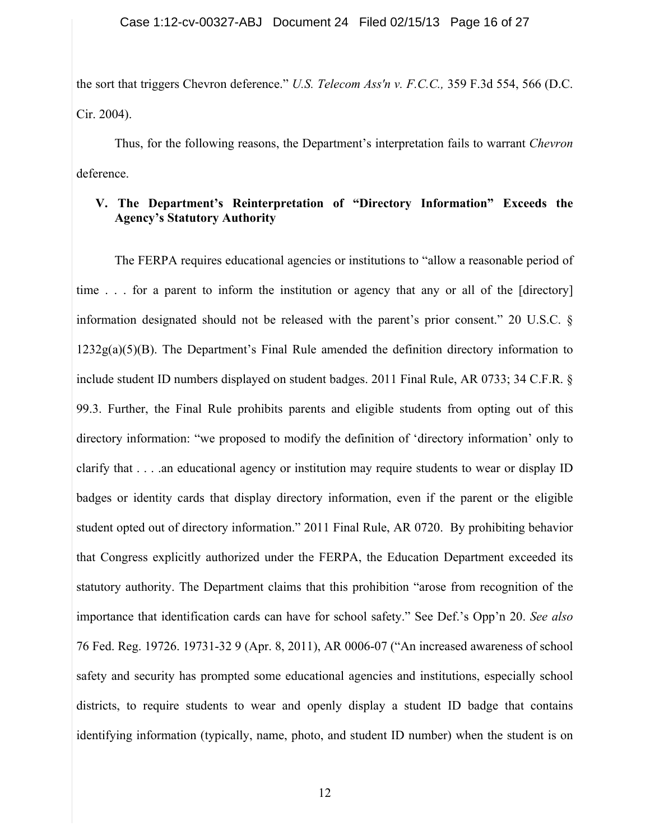the sort that triggers Chevron deference." *U.S. Telecom Ass'n v. F.C.C.,* 359 F.3d 554, 566 (D.C. Cir. 2004).

Thus, for the following reasons, the Department's interpretation fails to warrant *Chevron* deference.

### **V. The Department's Reinterpretation of "Directory Information" Exceeds the Agency's Statutory Authority**

The FERPA requires educational agencies or institutions to "allow a reasonable period of time . . . for a parent to inform the institution or agency that any or all of the [directory] information designated should not be released with the parent's prior consent." 20 U.S.C. §  $1232g(a)(5)(B)$ . The Department's Final Rule amended the definition directory information to include student ID numbers displayed on student badges. 2011 Final Rule, AR 0733; 34 C.F.R. § 99.3. Further, the Final Rule prohibits parents and eligible students from opting out of this directory information: "we proposed to modify the definition of 'directory information' only to clarify that . . . .an educational agency or institution may require students to wear or display ID badges or identity cards that display directory information, even if the parent or the eligible student opted out of directory information." 2011 Final Rule, AR 0720. By prohibiting behavior that Congress explicitly authorized under the FERPA, the Education Department exceeded its statutory authority. The Department claims that this prohibition "arose from recognition of the importance that identification cards can have for school safety." See Def.'s Opp'n 20. *See also* 76 Fed. Reg. 19726. 19731-32 9 (Apr. 8, 2011), AR 0006-07 ("An increased awareness of school safety and security has prompted some educational agencies and institutions, especially school districts, to require students to wear and openly display a student ID badge that contains identifying information (typically, name, photo, and student ID number) when the student is on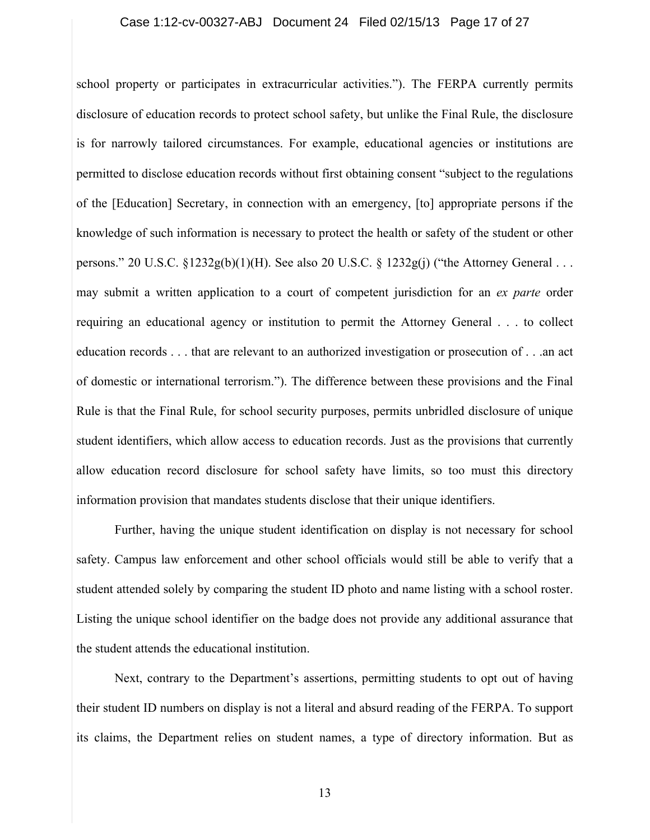#### Case 1:12-cv-00327-ABJ Document 24 Filed 02/15/13 Page 17 of 27

school property or participates in extracurricular activities."). The FERPA currently permits disclosure of education records to protect school safety, but unlike the Final Rule, the disclosure is for narrowly tailored circumstances. For example, educational agencies or institutions are permitted to disclose education records without first obtaining consent "subject to the regulations of the [Education] Secretary, in connection with an emergency, [to] appropriate persons if the knowledge of such information is necessary to protect the health or safety of the student or other persons." 20 U.S.C. §1232g(b)(1)(H). See also 20 U.S.C. § 1232g(j) ("the Attorney General . . . may submit a written application to a court of competent jurisdiction for an *ex parte* order requiring an educational agency or institution to permit the Attorney General . . . to collect education records . . . that are relevant to an authorized investigation or prosecution of . . .an act of domestic or international terrorism."). The difference between these provisions and the Final Rule is that the Final Rule, for school security purposes, permits unbridled disclosure of unique student identifiers, which allow access to education records. Just as the provisions that currently allow education record disclosure for school safety have limits, so too must this directory information provision that mandates students disclose that their unique identifiers.

Further, having the unique student identification on display is not necessary for school safety. Campus law enforcement and other school officials would still be able to verify that a student attended solely by comparing the student ID photo and name listing with a school roster. Listing the unique school identifier on the badge does not provide any additional assurance that the student attends the educational institution.

Next, contrary to the Department's assertions, permitting students to opt out of having their student ID numbers on display is not a literal and absurd reading of the FERPA. To support its claims, the Department relies on student names, a type of directory information. But as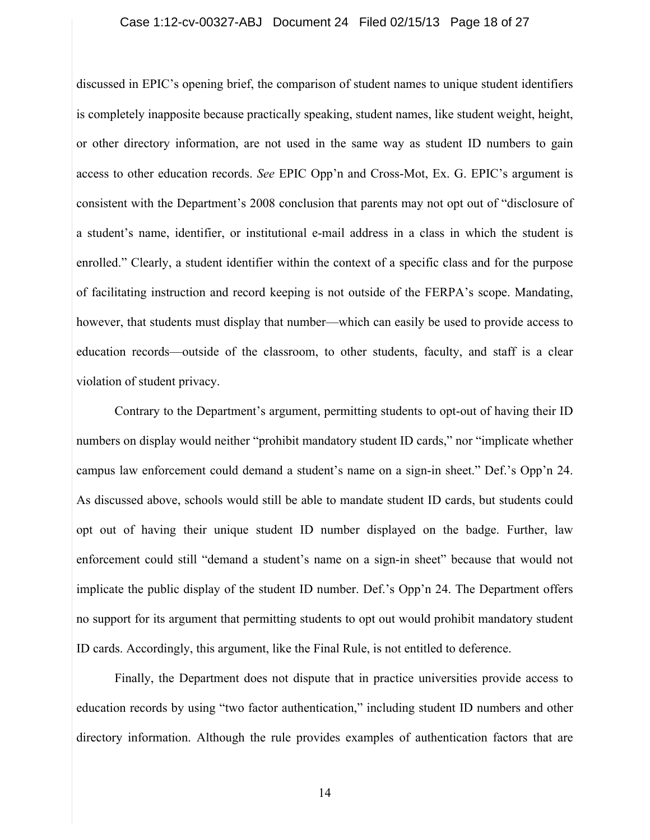#### Case 1:12-cv-00327-ABJ Document 24 Filed 02/15/13 Page 18 of 27

discussed in EPIC's opening brief, the comparison of student names to unique student identifiers is completely inapposite because practically speaking, student names, like student weight, height, or other directory information, are not used in the same way as student ID numbers to gain access to other education records. *See* EPIC Opp'n and Cross-Mot, Ex. G. EPIC's argument is consistent with the Department's 2008 conclusion that parents may not opt out of "disclosure of a student's name, identifier, or institutional e-mail address in a class in which the student is enrolled." Clearly, a student identifier within the context of a specific class and for the purpose of facilitating instruction and record keeping is not outside of the FERPA's scope. Mandating, however, that students must display that number—which can easily be used to provide access to education records—outside of the classroom, to other students, faculty, and staff is a clear violation of student privacy.

Contrary to the Department's argument, permitting students to opt-out of having their ID numbers on display would neither "prohibit mandatory student ID cards," nor "implicate whether campus law enforcement could demand a student's name on a sign-in sheet." Def.'s Opp'n 24. As discussed above, schools would still be able to mandate student ID cards, but students could opt out of having their unique student ID number displayed on the badge. Further, law enforcement could still "demand a student's name on a sign-in sheet" because that would not implicate the public display of the student ID number. Def.'s Opp'n 24. The Department offers no support for its argument that permitting students to opt out would prohibit mandatory student ID cards. Accordingly, this argument, like the Final Rule, is not entitled to deference.

Finally, the Department does not dispute that in practice universities provide access to education records by using "two factor authentication," including student ID numbers and other directory information. Although the rule provides examples of authentication factors that are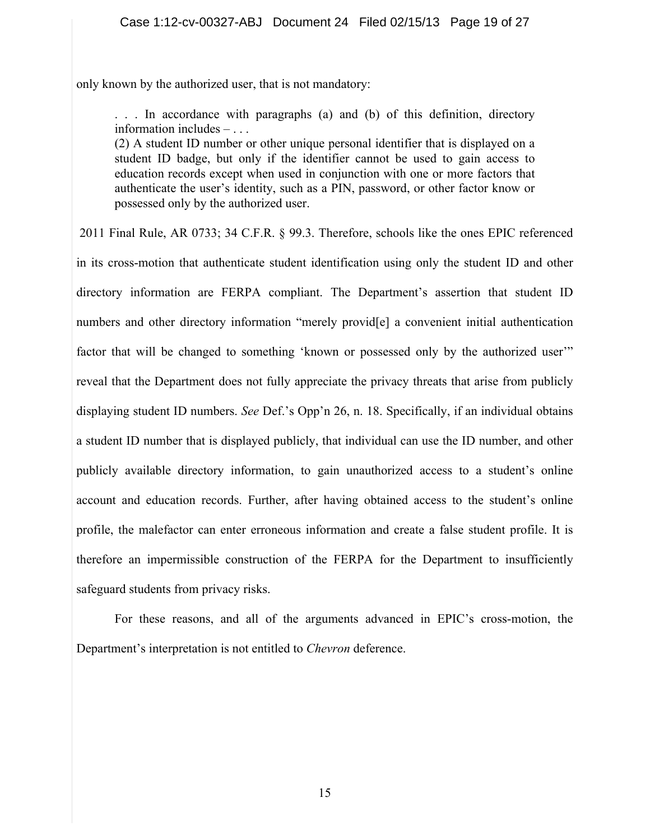only known by the authorized user, that is not mandatory:

. . . In accordance with paragraphs (a) and (b) of this definition, directory information includes – . . .

(2) A student ID number or other unique personal identifier that is displayed on a student ID badge, but only if the identifier cannot be used to gain access to education records except when used in conjunction with one or more factors that authenticate the user's identity, such as a PIN, password, or other factor know or possessed only by the authorized user.

 2011 Final Rule, AR 0733; 34 C.F.R. § 99.3. Therefore, schools like the ones EPIC referenced in its cross-motion that authenticate student identification using only the student ID and other directory information are FERPA compliant. The Department's assertion that student ID numbers and other directory information "merely provid[e] a convenient initial authentication factor that will be changed to something 'known or possessed only by the authorized user'" reveal that the Department does not fully appreciate the privacy threats that arise from publicly displaying student ID numbers. *See* Def.'s Opp'n 26, n. 18. Specifically, if an individual obtains a student ID number that is displayed publicly, that individual can use the ID number, and other publicly available directory information, to gain unauthorized access to a student's online account and education records. Further, after having obtained access to the student's online profile, the malefactor can enter erroneous information and create a false student profile. It is therefore an impermissible construction of the FERPA for the Department to insufficiently safeguard students from privacy risks.

For these reasons, and all of the arguments advanced in EPIC's cross-motion, the Department's interpretation is not entitled to *Chevron* deference.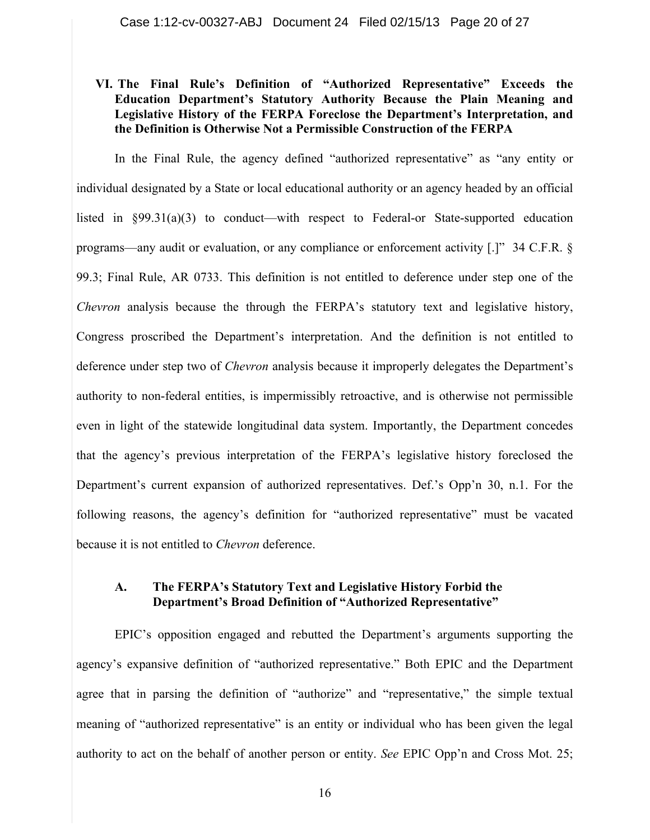### **VI. The Final Rule's Definition of "Authorized Representative" Exceeds the Education Department's Statutory Authority Because the Plain Meaning and Legislative History of the FERPA Foreclose the Department's Interpretation, and the Definition is Otherwise Not a Permissible Construction of the FERPA**

In the Final Rule, the agency defined "authorized representative" as "any entity or individual designated by a State or local educational authority or an agency headed by an official listed in §99.31(a)(3) to conduct—with respect to Federal-or State-supported education programs—any audit or evaluation, or any compliance or enforcement activity [.]" 34 C.F.R. § 99.3; Final Rule, AR 0733. This definition is not entitled to deference under step one of the *Chevron* analysis because the through the FERPA's statutory text and legislative history, Congress proscribed the Department's interpretation. And the definition is not entitled to deference under step two of *Chevron* analysis because it improperly delegates the Department's authority to non-federal entities, is impermissibly retroactive, and is otherwise not permissible even in light of the statewide longitudinal data system. Importantly, the Department concedes that the agency's previous interpretation of the FERPA's legislative history foreclosed the Department's current expansion of authorized representatives. Def.'s Opp'n 30, n.1. For the following reasons, the agency's definition for "authorized representative" must be vacated because it is not entitled to *Chevron* deference.

### **A. The FERPA's Statutory Text and Legislative History Forbid the Department's Broad Definition of "Authorized Representative"**

EPIC's opposition engaged and rebutted the Department's arguments supporting the agency's expansive definition of "authorized representative." Both EPIC and the Department agree that in parsing the definition of "authorize" and "representative," the simple textual meaning of "authorized representative" is an entity or individual who has been given the legal authority to act on the behalf of another person or entity. *See* EPIC Opp'n and Cross Mot. 25;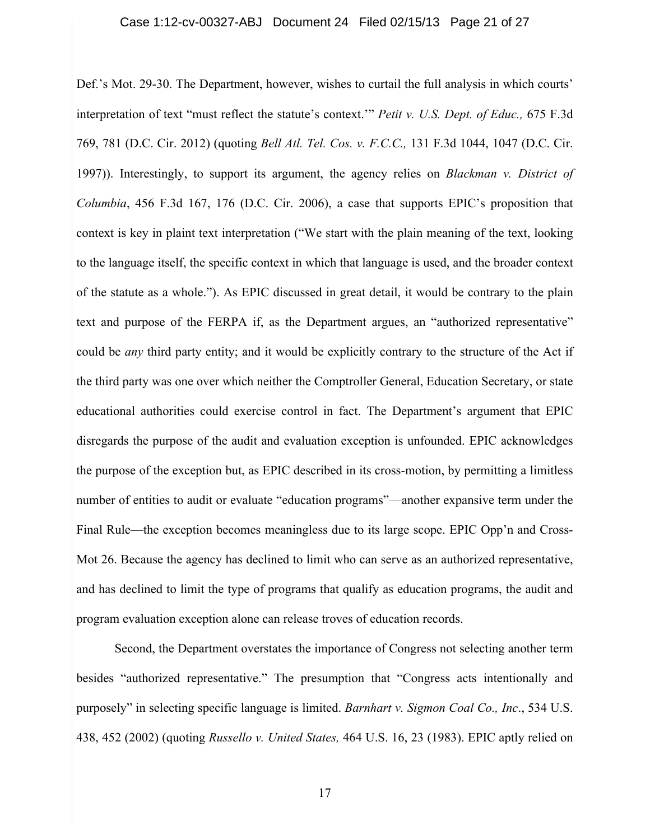Def.'s Mot. 29-30. The Department, however, wishes to curtail the full analysis in which courts' interpretation of text "must reflect the statute's context.'" *Petit v. U.S. Dept. of Educ.,* 675 F.3d 769, 781 (D.C. Cir. 2012) (quoting *Bell Atl. Tel. Cos. v. F.C.C.,* 131 F.3d 1044, 1047 (D.C. Cir. 1997)). Interestingly, to support its argument, the agency relies on *Blackman v. District of Columbia*, 456 F.3d 167, 176 (D.C. Cir. 2006), a case that supports EPIC's proposition that context is key in plaint text interpretation ("We start with the plain meaning of the text, looking to the language itself, the specific context in which that language is used, and the broader context of the statute as a whole."). As EPIC discussed in great detail, it would be contrary to the plain text and purpose of the FERPA if, as the Department argues, an "authorized representative" could be *any* third party entity; and it would be explicitly contrary to the structure of the Act if the third party was one over which neither the Comptroller General, Education Secretary, or state educational authorities could exercise control in fact. The Department's argument that EPIC disregards the purpose of the audit and evaluation exception is unfounded. EPIC acknowledges the purpose of the exception but, as EPIC described in its cross-motion, by permitting a limitless number of entities to audit or evaluate "education programs"—another expansive term under the Final Rule—the exception becomes meaningless due to its large scope. EPIC Opp'n and Cross-Mot 26. Because the agency has declined to limit who can serve as an authorized representative, and has declined to limit the type of programs that qualify as education programs, the audit and program evaluation exception alone can release troves of education records.

Second, the Department overstates the importance of Congress not selecting another term besides "authorized representative." The presumption that "Congress acts intentionally and purposely" in selecting specific language is limited. *Barnhart v. Sigmon Coal Co., Inc*., 534 U.S. 438, 452 (2002) (quoting *Russello v. United States,* 464 U.S. 16, 23 (1983). EPIC aptly relied on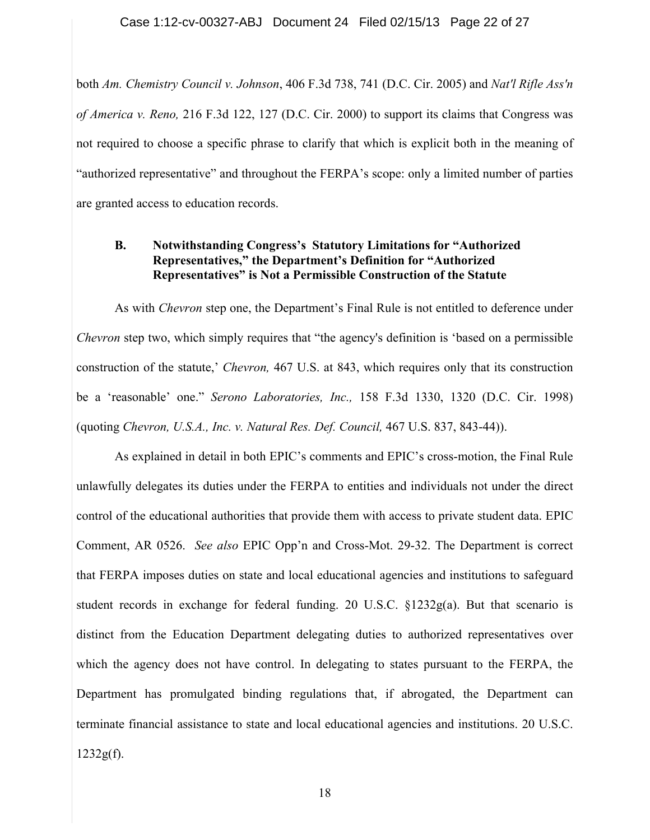### Case 1:12-cv-00327-ABJ Document 24 Filed 02/15/13 Page 22 of 27

both *Am. Chemistry Council v. Johnson*, 406 F.3d 738, 741 (D.C. Cir. 2005) and *Nat'l Rifle Ass'n of America v. Reno,* 216 F.3d 122, 127 (D.C. Cir. 2000) to support its claims that Congress was not required to choose a specific phrase to clarify that which is explicit both in the meaning of "authorized representative" and throughout the FERPA's scope: only a limited number of parties are granted access to education records.

### **B. Notwithstanding Congress's Statutory Limitations for "Authorized Representatives," the Department's Definition for "Authorized Representatives" is Not a Permissible Construction of the Statute**

As with *Chevron* step one, the Department's Final Rule is not entitled to deference under *Chevron* step two, which simply requires that "the agency's definition is 'based on a permissible construction of the statute,' *Chevron,* 467 U.S. at 843, which requires only that its construction be a 'reasonable' one." *Serono Laboratories, Inc.,* 158 F.3d 1330, 1320 (D.C. Cir. 1998) (quoting *Chevron, U.S.A., Inc. v. Natural Res. Def. Council,* 467 U.S. 837, 843-44)).

As explained in detail in both EPIC's comments and EPIC's cross-motion, the Final Rule unlawfully delegates its duties under the FERPA to entities and individuals not under the direct control of the educational authorities that provide them with access to private student data. EPIC Comment, AR 0526. *See also* EPIC Opp'n and Cross-Mot. 29-32. The Department is correct that FERPA imposes duties on state and local educational agencies and institutions to safeguard student records in exchange for federal funding. 20 U.S.C.  $\S$ 1232g(a). But that scenario is distinct from the Education Department delegating duties to authorized representatives over which the agency does not have control. In delegating to states pursuant to the FERPA, the Department has promulgated binding regulations that, if abrogated, the Department can terminate financial assistance to state and local educational agencies and institutions. 20 U.S.C.  $1232g(f)$ .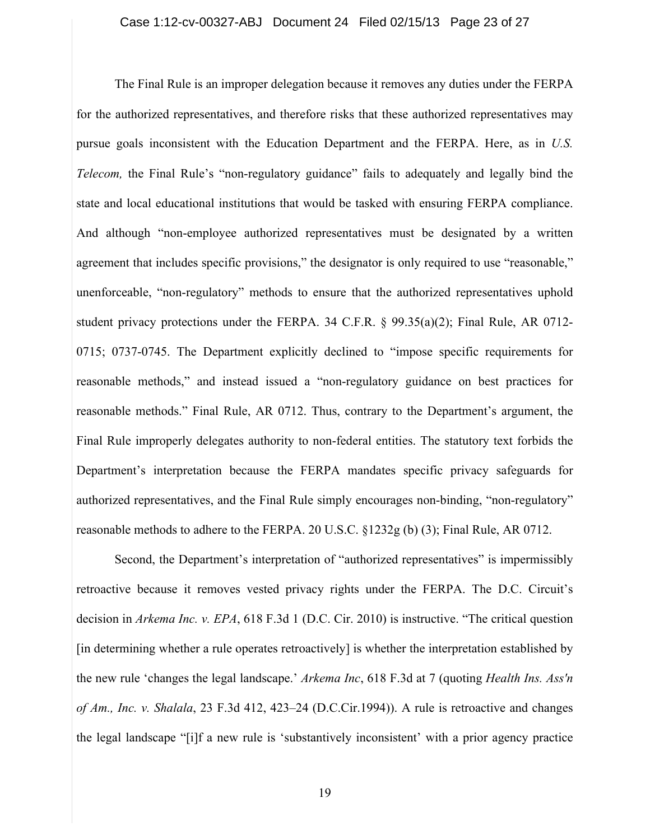The Final Rule is an improper delegation because it removes any duties under the FERPA for the authorized representatives, and therefore risks that these authorized representatives may pursue goals inconsistent with the Education Department and the FERPA. Here, as in *U.S. Telecom,* the Final Rule's "non-regulatory guidance" fails to adequately and legally bind the state and local educational institutions that would be tasked with ensuring FERPA compliance. And although "non-employee authorized representatives must be designated by a written agreement that includes specific provisions," the designator is only required to use "reasonable," unenforceable, "non-regulatory" methods to ensure that the authorized representatives uphold student privacy protections under the FERPA. 34 C.F.R. § 99.35(a)(2); Final Rule, AR 0712- 0715; 0737-0745. The Department explicitly declined to "impose specific requirements for reasonable methods," and instead issued a "non-regulatory guidance on best practices for reasonable methods." Final Rule, AR 0712. Thus, contrary to the Department's argument, the Final Rule improperly delegates authority to non-federal entities. The statutory text forbids the Department's interpretation because the FERPA mandates specific privacy safeguards for authorized representatives, and the Final Rule simply encourages non-binding, "non-regulatory" reasonable methods to adhere to the FERPA. 20 U.S.C. §1232g (b) (3); Final Rule, AR 0712.

Second, the Department's interpretation of "authorized representatives" is impermissibly retroactive because it removes vested privacy rights under the FERPA. The D.C. Circuit's decision in *Arkema Inc. v. EPA*, 618 F.3d 1 (D.C. Cir. 2010) is instructive. "The critical question [in determining whether a rule operates retroactively] is whether the interpretation established by the new rule 'changes the legal landscape.' *Arkema Inc*, 618 F.3d at 7 (quoting *Health Ins. Ass'n of Am., Inc. v. Shalala*, 23 F.3d 412, 423–24 (D.C.Cir.1994)). A rule is retroactive and changes the legal landscape "[i]f a new rule is 'substantively inconsistent' with a prior agency practice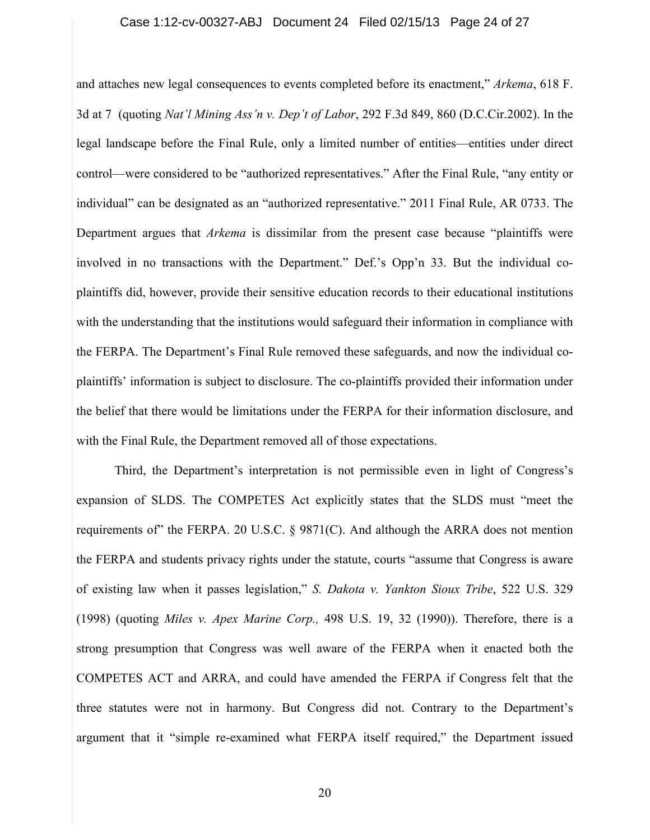#### Case 1:12-cv-00327-ABJ Document 24 Filed 02/15/13 Page 24 of 27

and attaches new legal consequences to events completed before its enactment," *Arkema*, 618 F. 3d at 7 (quoting *Nat'l Mining Ass'n v. Dep't of Labor*, 292 F.3d 849, 860 (D.C.Cir.2002). In the legal landscape before the Final Rule, only a limited number of entities—entities under direct control—were considered to be "authorized representatives." After the Final Rule, "any entity or individual" can be designated as an "authorized representative." 2011 Final Rule, AR 0733. The Department argues that *Arkema* is dissimilar from the present case because "plaintiffs were involved in no transactions with the Department." Def.'s Opp'n 33. But the individual coplaintiffs did, however, provide their sensitive education records to their educational institutions with the understanding that the institutions would safeguard their information in compliance with the FERPA. The Department's Final Rule removed these safeguards, and now the individual coplaintiffs' information is subject to disclosure. The co-plaintiffs provided their information under the belief that there would be limitations under the FERPA for their information disclosure, and with the Final Rule, the Department removed all of those expectations.

Third, the Department's interpretation is not permissible even in light of Congress's expansion of SLDS. The COMPETES Act explicitly states that the SLDS must "meet the requirements of" the FERPA. 20 U.S.C. § 9871(C). And although the ARRA does not mention the FERPA and students privacy rights under the statute, courts "assume that Congress is aware of existing law when it passes legislation," *S. Dakota v. Yankton Sioux Tribe*, 522 U.S. 329 (1998) (quoting *Miles v. Apex Marine Corp.,* 498 U.S. 19, 32 (1990)). Therefore, there is a strong presumption that Congress was well aware of the FERPA when it enacted both the COMPETES ACT and ARRA, and could have amended the FERPA if Congress felt that the three statutes were not in harmony. But Congress did not. Contrary to the Department's argument that it "simple re-examined what FERPA itself required," the Department issued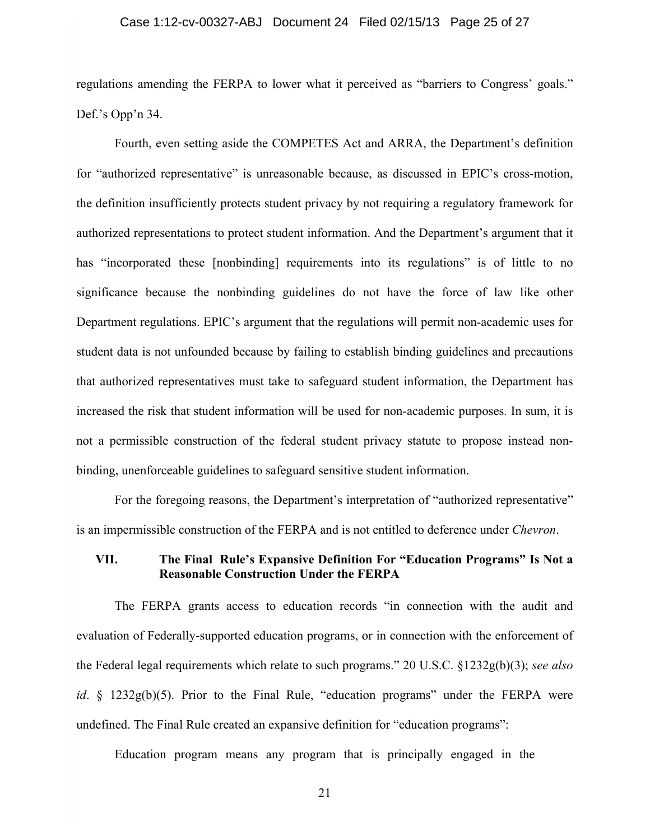regulations amending the FERPA to lower what it perceived as "barriers to Congress' goals." Def.'s Opp'n 34.

Fourth, even setting aside the COMPETES Act and ARRA, the Department's definition for "authorized representative" is unreasonable because, as discussed in EPIC's cross-motion, the definition insufficiently protects student privacy by not requiring a regulatory framework for authorized representations to protect student information. And the Department's argument that it has "incorporated these [nonbinding] requirements into its regulations" is of little to no significance because the nonbinding guidelines do not have the force of law like other Department regulations. EPIC's argument that the regulations will permit non-academic uses for student data is not unfounded because by failing to establish binding guidelines and precautions that authorized representatives must take to safeguard student information, the Department has increased the risk that student information will be used for non-academic purposes. In sum, it is not a permissible construction of the federal student privacy statute to propose instead nonbinding, unenforceable guidelines to safeguard sensitive student information.

For the foregoing reasons, the Department's interpretation of "authorized representative" is an impermissible construction of the FERPA and is not entitled to deference under *Chevron*.

### **VII. The Final Rule's Expansive Definition For "Education Programs" Is Not a Reasonable Construction Under the FERPA**

The FERPA grants access to education records "in connection with the audit and evaluation of Federally-supported education programs, or in connection with the enforcement of the Federal legal requirements which relate to such programs." 20 U.S.C. §1232g(b)(3); *see also id*. § 1232g(b)(5). Prior to the Final Rule, "education programs" under the FERPA were undefined. The Final Rule created an expansive definition for "education programs":

Education program means any program that is principally engaged in the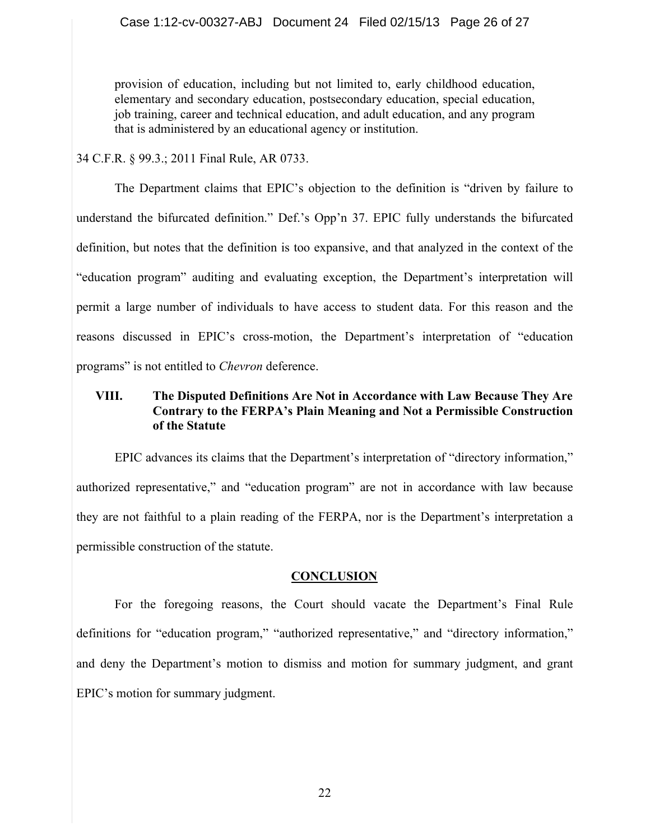provision of education, including but not limited to, early childhood education, elementary and secondary education, postsecondary education, special education, job training, career and technical education, and adult education, and any program that is administered by an educational agency or institution.

34 C.F.R. § 99.3.; 2011 Final Rule, AR 0733.

The Department claims that EPIC's objection to the definition is "driven by failure to understand the bifurcated definition." Def.'s Opp'n 37. EPIC fully understands the bifurcated definition, but notes that the definition is too expansive, and that analyzed in the context of the "education program" auditing and evaluating exception, the Department's interpretation will permit a large number of individuals to have access to student data. For this reason and the reasons discussed in EPIC's cross-motion, the Department's interpretation of "education programs" is not entitled to *Chevron* deference.

## **VIII. The Disputed Definitions Are Not in Accordance with Law Because They Are Contrary to the FERPA's Plain Meaning and Not a Permissible Construction of the Statute**

EPIC advances its claims that the Department's interpretation of "directory information," authorized representative," and "education program" are not in accordance with law because they are not faithful to a plain reading of the FERPA, nor is the Department's interpretation a permissible construction of the statute.

## **CONCLUSION**

For the foregoing reasons, the Court should vacate the Department's Final Rule definitions for "education program," "authorized representative," and "directory information," and deny the Department's motion to dismiss and motion for summary judgment, and grant EPIC's motion for summary judgment.